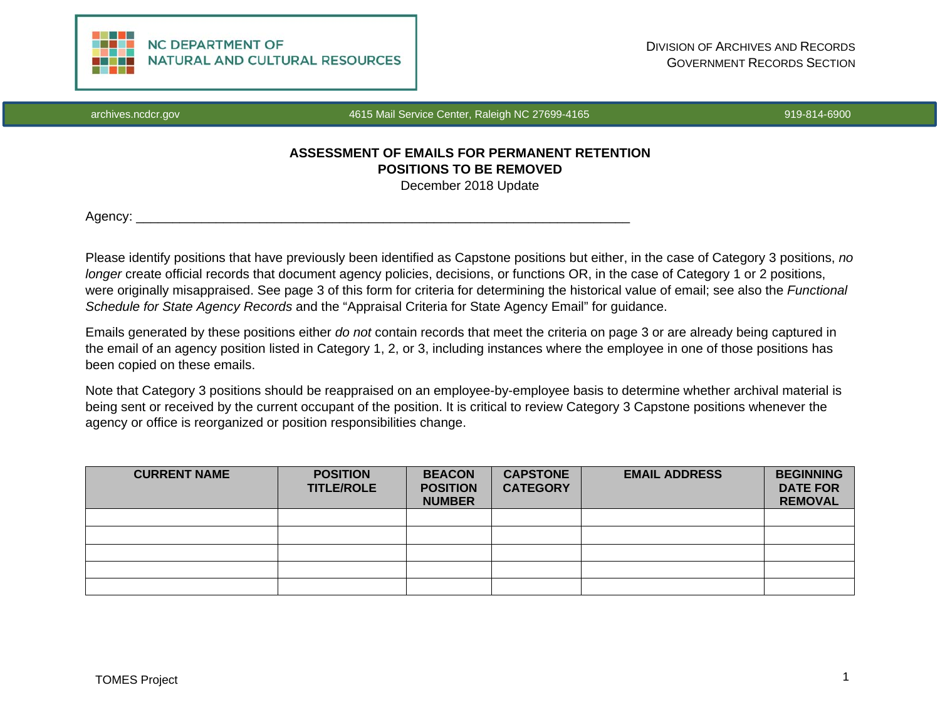

archives.ncdcr.gov 4615 Mail Service Center, Raleigh NC 27699-4165 919-814-6900 919-814-6900

# **ASSESSMENT OF EMAILS FOR PERMANENT RETENTION POSITIONS TO BE REMOVED** December 2018 Update

Agency: \_\_\_\_\_\_\_\_\_\_\_\_\_\_\_\_\_\_\_\_\_\_\_\_\_\_\_\_\_\_\_\_\_\_\_\_\_\_\_\_\_\_\_\_\_\_\_\_\_\_\_\_\_\_\_\_\_\_\_\_\_\_\_\_\_\_\_\_

Please identify positions that have previously been identified as Capstone positions but either, in the case of Category 3 positions, *no longer* create official records that document agency policies, decisions, or functions OR, in the case of Category 1 or 2 positions, were originally misappraised. See page 3 of this form for criteria for determining the historical value of email; see also the *Functional Schedule for State Agency Records* and the "Appraisal Criteria for State Agency Email" for guidance.

Emails generated by these positions either *do not* contain records that meet the criteria on page 3 or are already being captured in the email of an agency position listed in Category 1, 2, or 3, including instances where the employee in one of those positions has been copied on these emails.

Note that Category 3 positions should be reappraised on an employee-by-employee basis to determine whether archival material is being sent or received by the current occupant of the position. It is critical to review Category 3 Capstone positions whenever the agency or office is reorganized or position responsibilities change.

| <b>CURRENT NAME</b> | <b>POSITION</b><br><b>TITLE/ROLE</b> | <b>BEACON</b><br><b>POSITION</b><br><b>NUMBER</b> | <b>CAPSTONE</b><br><b>CATEGORY</b> | <b>EMAIL ADDRESS</b> | <b>BEGINNING</b><br><b>DATE FOR</b><br><b>REMOVAL</b> |
|---------------------|--------------------------------------|---------------------------------------------------|------------------------------------|----------------------|-------------------------------------------------------|
|                     |                                      |                                                   |                                    |                      |                                                       |
|                     |                                      |                                                   |                                    |                      |                                                       |
|                     |                                      |                                                   |                                    |                      |                                                       |
|                     |                                      |                                                   |                                    |                      |                                                       |
|                     |                                      |                                                   |                                    |                      |                                                       |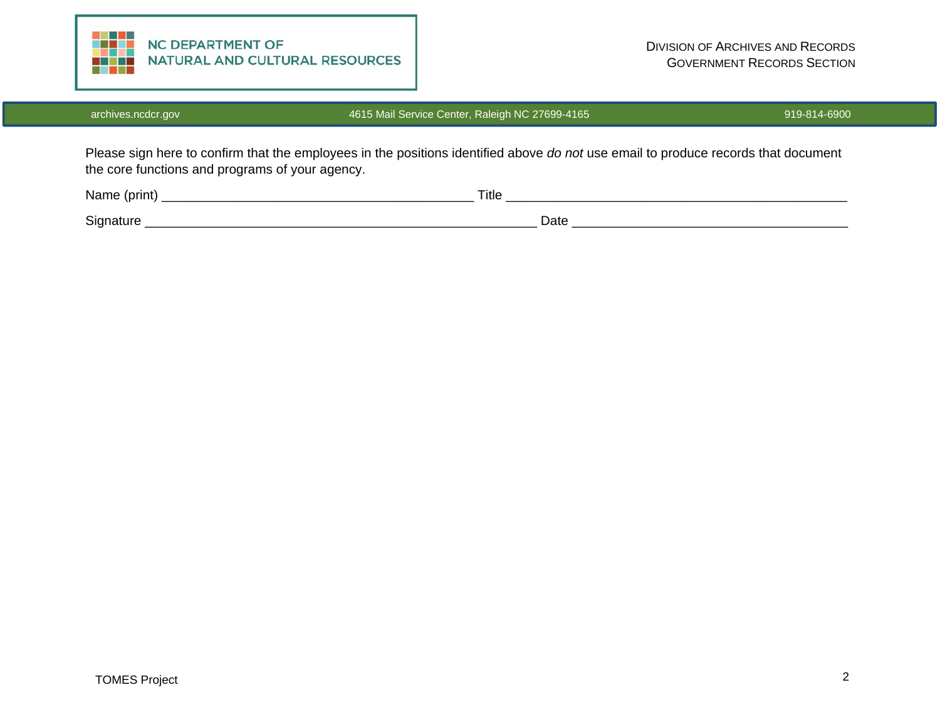

## archives.ncdcr.gov **1615 Mail Service Center, Raleigh NC 27699-4165** 919-814-6900

Please sign here to confirm that the employees in the positions identified above *do not* use email to produce records that document the core functions and programs of your agency.

| Name (print) | Title |
|--------------|-------|
| Signature    | Date  |